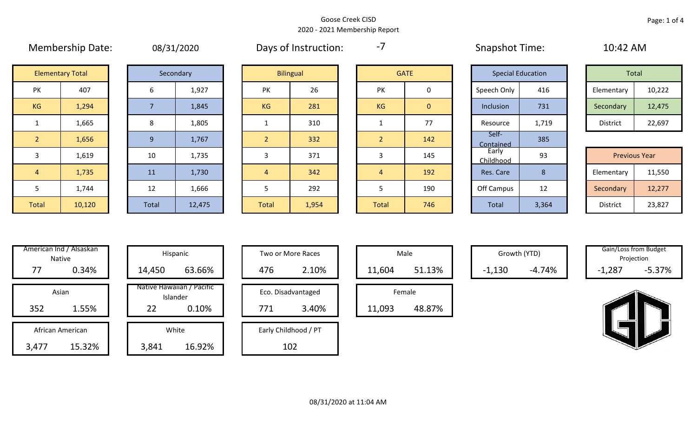## Page: 1 of 4

|                | <b>Elementary Total</b> |                | Secondary |                | <b>Bilingual</b> |                | <b>GATE</b> |
|----------------|-------------------------|----------------|-----------|----------------|------------------|----------------|-------------|
| PK             | 407                     | 6              | 1,927     | PK             | 26               | PK             | 0           |
| KG             | 1,294                   | $\overline{7}$ | 1,845     | <b>KG</b>      | 281              | <b>KG</b>      | $\pmb{0}$   |
| $\mathbf{1}$   | 1,665                   | 8              | 1,805     | $\mathbf{1}$   | 310              | $\mathbf{1}$   | 77          |
| $\overline{2}$ | 1,656                   | 9              | 1,767     | $\overline{2}$ | 332              | $\overline{2}$ | 142         |
| 3              | 1,619                   | 10             | 1,735     | 3              | 371              | 3              | 145         |
| $\overline{4}$ | 1,735                   | 11             | 1,730     | $\overline{4}$ | 342              | $\overline{4}$ | 192         |
| 5              | 1,744                   | 12             | 1,666     | 5              | 292              | 5              | 190         |
| Total          | 10,120                  | Total          | 12,475    | Total          | 1,954            | Total          | 746         |

Membership Date: 08/31/2020 Snapshot Time: 10:42 AM Days of Instruction:

-7

Self-

|    | <b>Elementary Total</b><br>Secondary |  |       | <b>Bilingual</b> |           |     | <b>GATE</b> |                | <b>Special Education</b> |       | Total      |        |
|----|--------------------------------------|--|-------|------------------|-----------|-----|-------------|----------------|--------------------------|-------|------------|--------|
| PK | 407                                  |  | 1,927 |                  | PK        | 26  | PΚ          | υ              | Speech Only              | 416   | Elementary | 10,222 |
| KG | 1,294                                |  |       | 1,845            | <b>KG</b> | 281 | KG          | $\overline{0}$ | Inclusion                | 731   | Secondary  | 12,475 |
|    | 1,665                                |  |       | 1,805            |           | 310 |             | $\overline{ }$ | Resource                 | 1,719 | District   | 22,697 |

|                        |        |              |        |              |       |       |     | <u>contained</u>   |          |                      |        |
|------------------------|--------|--------------|--------|--------------|-------|-------|-----|--------------------|----------|----------------------|--------|
|                        | 1,619  | 10           | 1,735  |              | 371   |       | 145 | Early<br>Childhood | ۵R<br>JJ | <b>Previous Year</b> |        |
| $\left 4\right\rangle$ | 1,735  | <b>11</b>    | 1,730  |              | 342   |       | 192 | Res. Care          |          | Elementary           | 11,550 |
|                        | 1,744  | 12           | 1,666  |              | 292   |       | 190 | Off Campus         | 12       | Secondary            | 12,277 |
| Total                  | 10,120 | <b>Total</b> | 12,475 | <b>Total</b> | 1,954 | Total | 746 | Total              | 3,364    | District             | 23,827 |

|       | American Ind / Alsaskan<br><b>Native</b> |        | Hispanic                              |
|-------|------------------------------------------|--------|---------------------------------------|
| 77    | 0.34%                                    | 14,450 | 63.66%                                |
|       | Asian                                    |        | Native Hawaiian / Pacific<br>Islander |
| 352   | 1.55%                                    | 22     | 0.10%                                 |
|       | African American                         |        | White                                 |
| 3,477 | 15.32%                                   | 3,841  | 16.92%                                |

|                  | merican Ind / Alsaskan I<br>Native |                                       |         | Hispanic     |  |     | Two or More Races    |        | Male   |          | Growth (YTD) | Gain/Loss from Budget<br>Projection |          |
|------------------|------------------------------------|---------------------------------------|---------|--------------|--|-----|----------------------|--------|--------|----------|--------------|-------------------------------------|----------|
| 77               | 0.34%                              |                                       | 14,450  | 63.66%       |  | 476 | 2.10%                | 11,604 | 51.13% | $-1,130$ | $-4.74%$     | $-1,287$                            | $-5.37%$ |
|                  | Asian                              | Native Hawaiian / Pacific<br>Islander |         |              |  |     | Eco. Disadvantaged   |        | Female |          |              |                                     |          |
| 352<br>1.55%     |                                    |                                       | 22      | 0.10%        |  | 771 | 3.40%                | 11,093 | 48.87% |          |              |                                     |          |
| African American |                                    |                                       |         | White        |  |     | Early Childhood / PT |        |        |          |              |                                     |          |
| 177              | 4F220/                             |                                       | $2.011$ | $AC$ $O$ $O$ |  |     | 102                  |        |        |          |              |                                     |          |

| Hispanic                       |     | Two or More Races    |        | Male   |
|--------------------------------|-----|----------------------|--------|--------|
| 63.66%                         | 476 | 2.10%                | 11,604 |        |
| lawaiian / Pacific<br>Islander |     | Eco. Disadvantaged   |        | Female |
| 0.10%                          | 771 | 3.40%                | 11,093 |        |
| White                          |     | Early Childhood / PT |        |        |

102

|        | Male   |  |  |  |  |  |  |  |  |  |  |
|--------|--------|--|--|--|--|--|--|--|--|--|--|
| 11,604 | 51.13% |  |  |  |  |  |  |  |  |  |  |
| Female |        |  |  |  |  |  |  |  |  |  |  |

Contained 385

Growth (YTD) Gain/Loss from Budget Projection

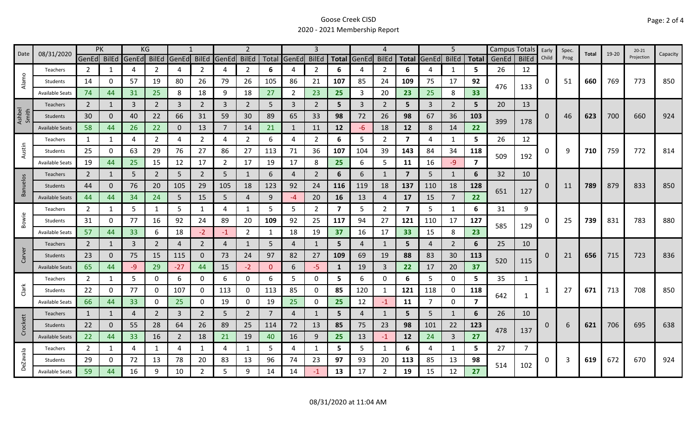| Date            | 08/31/2020             | PK             |          |       | KG             |          |                |                | $\overline{2}$ |          |                | $\mathbf{3}$   |                         |                | Δ              |                         |       | 5              |                         | <b>Campus Totals</b> |              | Early | Spec. | Total | 19-20 | $20 - 21$  | Capacity |
|-----------------|------------------------|----------------|----------|-------|----------------|----------|----------------|----------------|----------------|----------|----------------|----------------|-------------------------|----------------|----------------|-------------------------|-------|----------------|-------------------------|----------------------|--------------|-------|-------|-------|-------|------------|----------|
|                 |                        | GenEd BilEd    |          | GenEd | <b>BilEd</b>   | GenEd    | <b>BilEd</b>   | GenEd          | <b>BilEd</b>   |          | Total GenEd    | <b>BilEd</b>   | <b>Total</b>            | GenEd          | <b>BilEd</b>   | <b>Total</b>            | GenEd | <b>BilEd</b>   | <b>Total</b>            | GenEd                | <b>BilEd</b> | Child | Prog  |       |       | Projection |          |
|                 | Teachers               | $\overline{2}$ | 1        | 4     | $\overline{2}$ | 4        | $\overline{2}$ | 4              | $\overline{2}$ | 6        | 4              | $\overline{2}$ | 6                       | 4              | 2              | 6                       | 4     | 1              | 5                       | 26                   | 12           |       |       |       |       |            |          |
| Alamo           | Students               | 14             | 0        | 57    | 19             | 80       | 26             | 79             | 26             | 105      | 86             | 21             | 107                     | 85             | 24             | 109                     | 75    | 17             | 92                      | 476                  | 133          | 0     | 51    | 660   | 769   | 773        | 850      |
|                 | <b>Available Seats</b> | 74             | 44       | 31    | 25             | 8        | 18             | 9              | 18             | 27       | $\overline{2}$ | 23             | 25                      | 3              | 20             | 23                      | 25    | 8              | 33                      |                      |              |       |       |       |       |            |          |
|                 | Teachers               | $\overline{2}$ | 1        | 3     | $\overline{2}$ | 3        | $\overline{2}$ | 3              | $\overline{2}$ | 5        | $\overline{3}$ | $\overline{2}$ | 5                       | $\overline{3}$ | $\overline{2}$ | 5                       | 3     | 2              | 5                       | 20                   | 13           |       |       |       |       |            |          |
| Ashbel<br>Smith | Students               | 30             | $\Omega$ | 40    | 22             | 66       | 31             | 59             | 30             | 89       | 65             | 33             | 98                      | 72             | 26             | 98                      | 67    | 36             | 103                     | 399                  |              | 0     | 46    | 623   | 700   | 660        | 924      |
|                 | <b>Available Seats</b> | 58             | 44       | 26    | 22             | $\Omega$ | 13             | 7              | 14             | 21       | $\mathbf{1}$   | 11             | 12                      | $-6$           | 18             | 12                      | 8     | 14             | 22                      |                      | 178          |       |       |       |       |            |          |
|                 | Teachers               | 1              | 1        | 4     | $\overline{2}$ | 4        | $\overline{2}$ | 4              | $\overline{2}$ | 6        | 4              | $\overline{2}$ | 6                       | 5              | $\overline{2}$ | $\overline{7}$          | 4     | 1              | 5                       | 26                   | 12           |       |       |       |       |            |          |
| Austin          | Students               | 25             | 0        | 63    | 29             | 76       | 27             | 86             | 27             | 113      | 71             | 36             | 107                     | 104            | 39             | 143                     | 84    | 34             | 118                     |                      |              | 0     | 9     | 710   | 759   | 772        | 814      |
|                 | <b>Available Seats</b> | 19             | 44       | 25    | 15             | 12       | 17             | $\overline{2}$ | 17             | 19       | 17             | 8              | 25                      | 6              | 5              | 11                      | 16    | $-9$           | $\overline{\mathbf{z}}$ | 509                  | 192          |       |       |       |       |            |          |
|                 | <b>Teachers</b>        | $\overline{2}$ | 1        | 5     | $\mathbf{2}$   | 5        | $\overline{2}$ | 5              | 1              | 6        | $\overline{4}$ | $\overline{2}$ | 6                       | 6              | 1              | $\overline{\mathbf{z}}$ | 5     | $\mathbf{1}$   | 6                       | 32                   | 10           |       |       |       |       |            |          |
| <b>Banuelos</b> | Students               | 44             | $\Omega$ | 76    | 20             | 105      | 29             | 105            | 18             | 123      | 92             | 24             | 116                     | 119            | 18             | 137                     | 110   | 18             | 128                     |                      |              | 0     | 11    | 789   | 879   | 833        | 850      |
|                 | <b>Available Seats</b> | 44             | 44       | 34    | 24             | 5        | 15             | 5              | 4              | 9        | $-4$           | 20             | 16                      | 13             | $\overline{4}$ | 17                      | 15    | $\overline{7}$ | 22                      | 651                  | 127          |       |       |       |       |            |          |
|                 | Teachers               | $\overline{2}$ | 1        | 5     |                | 5        | 1              | 4              | $\mathbf{1}$   | 5        | 5              | 2              | $\overline{\mathbf{z}}$ | 5              | $\overline{2}$ | 7                       | 5     | $\mathbf{1}$   | 6                       | 31                   | 9            |       |       |       |       |            |          |
| Bowie           | Students               | 31             | 0        | 77    | 16             | 92       | 24             | 89             | 20             | 109      | 92             | 25             | 117                     | 94             | 27             | 121                     | 110   | 17             | 127<br>585              |                      |              | 0     | 25    | 739   | 831   | 783        | 880      |
|                 | <b>Available Seats</b> | 57             | 44       | 33    | 6              | 18       | $-2$           | -1             | $\overline{2}$ | 1        | 18             | 19             | 37                      | 16             | 17             | 33                      | 15    | 8              | 23                      |                      | 129          |       |       |       |       |            |          |
|                 | Teachers               | $\overline{2}$ | 1        | 3     | $\overline{2}$ | 4        | $\overline{2}$ | 4              | $\mathbf{1}$   | 5        | 4              | 1              | 5                       | 4              | 1              | 5                       | 4     | $\overline{2}$ | 6                       | 25                   | 10           |       |       |       |       |            |          |
| Carver          | Students               | 23             | 0        | 75    | 15             | 115      | $\mathbf{0}$   | 73             | 24             | 97       | 82             | 27             | 109                     | 69             | 19             | 88                      | 83    | 30             | 113                     |                      |              | 0     | 21    | 656   | 715   | 723        | 836      |
|                 | <b>Available Seats</b> | 65             | 44       | $-9$  | 29             | $-27$    | 44             | 15             | $-2$           | $\Omega$ | 6              | -5             | $\mathbf{1}$            | 19             | $\overline{3}$ | 22                      | 17    | 20             | 37                      | 520                  | 115          |       |       |       |       |            |          |
|                 | Teachers               | $\overline{2}$ | 1        | 5     | 0              | 6        | 0              | 6              | $\mathbf{0}$   | 6        | 5              | 0              | 5                       | 6              | 0              | 6                       | 5     | $\mathbf 0$    | 5.                      | 35                   | 1            |       |       |       |       |            |          |
| Clark           | Students               | 22             | 0        | 77    | 0              | 107      | 0              | 113            | 0              | 113      | 85             | 0              | 85                      | 120            | $\mathbf{1}$   | 121                     | 118   | 0              | 118                     |                      |              |       | 27    | 671   | 713   | 708        | 850      |
|                 | <b>Available Seats</b> | 66             | 44       | 33    | 0              | 25       | 0              | 19             | $\mathbf 0$    | 19       | 25             | 0              | 25                      | 12             | $-1$           | 11                      | 7     | $\mathbf 0$    | 7                       | 642                  | $\mathbf{1}$ |       |       |       |       |            |          |
|                 | Teachers               | 1              | 1        | 4     | $\overline{2}$ | 3        | $\overline{2}$ | 5              | $\overline{2}$ | 7        | $\overline{4}$ | 1              | 5                       | $\overline{4}$ | $\mathbf{1}$   | 5.                      | 5     | $\mathbf{1}$   | 6                       | 26                   | 10           |       |       |       |       |            |          |
| Crockett        | Students               | 22             | 0        | 55    | 28             | 64       | 26             | 89             | 25             | 114      | 72             | 13             | 85                      | 75             | 23             | 98                      | 101   | 22             | 123                     |                      |              | 0     | 6     | 621   | 706   | 695        | 638      |
|                 | <b>Available Seats</b> | 22             | 44       | 33    | 16             | 2        | 18             | 21             | 19             | 40       | 16             | 9              | 25                      | 13             | $-1$           | 12                      | 24    | $\overline{3}$ | 27                      | 478                  | 137          |       |       |       |       |            |          |
|                 | Teachers               | $\overline{2}$ | 1        | 4     | 1              | 4        | $\mathbf{1}$   | 4              | 1              | 5        | 4              | 1              | 5                       | 5              | 1              | 6                       | 4     | 1              | 5.                      | 27                   | 7            |       |       |       |       |            |          |
|                 | Students               | 29             |          | 72    | 13             | 78       | 20             | 83             | 13             | 96       | 74             | 23             | 97                      | 93             | 20             | 113                     | 85    | 13             | 98                      |                      |              | 0     | 3     | 619   | 672   | 670        | 924      |
| <b>DeZavala</b> | Available Seats        | 59             | 44       | 16    | 9              | 10       | $\overline{2}$ | 5              | 9              | 14       | 14             |                | 13                      | 17             | $\overline{2}$ | 19                      | 15    | 12             | 27                      | 514                  | 102          |       |       |       |       |            |          |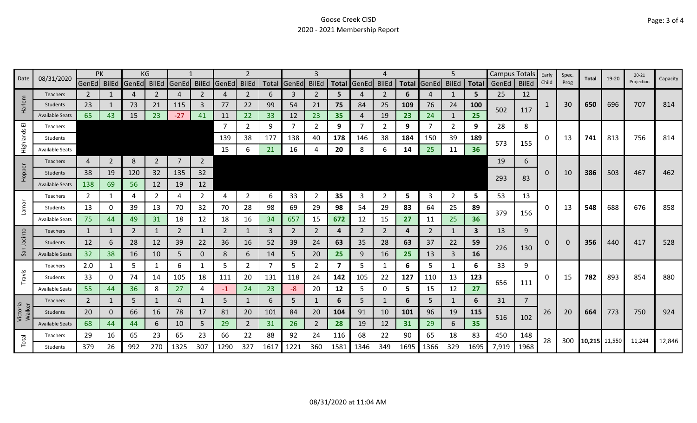| 08/31/2020<br>Date    |                        | PK             |                |       | ΚG             |                |                |             |                |      |             | 3              |      |                |                |      |                   | 5.             |       | Campus Totals |                | Early    | Spec. | <b>Total</b>  | 19-20 | $20 - 21$  | Capacity |
|-----------------------|------------------------|----------------|----------------|-------|----------------|----------------|----------------|-------------|----------------|------|-------------|----------------|------|----------------|----------------|------|-------------------|----------------|-------|---------------|----------------|----------|-------|---------------|-------|------------|----------|
|                       |                        | GenEd BilEd    |                | GenEd | BilEd          | GenEd          | <b>BilEd</b>   | GenEd BilEd |                |      | Total GenEd | <b>BilEd</b>   |      | Total GenEd    | <b>BilEd</b>   |      | Total GenEd BilEd |                | Total | GenEd         | <b>BilEd</b>   | Child    | Prog  |               |       | Projection |          |
|                       | <b>Teachers</b>        | $\mathbf{2}$   |                | 4     | 2              | 4              | 2              | 4           | $\overline{2}$ | 6    | 3           | 2              | 5.   |                | $\overline{2}$ | 6    | 4                 |                | 5     | 25            | 12             |          |       |               |       |            |          |
| Harlem                | Students               | 23             |                | 73    | 21             | 115            | 3              | 77          | 22             | 99   | 54          | 21             | 75   | 84             | 25             | 109  | 76                | 24             | 100   | 502           | 117            | -1       | 30    | 650           | 696   | 707        | 814      |
|                       | <b>Available Seats</b> | 65             | 43             | 15    | 23             | $-27$          | 41             | 11          | 22             | 33   | 12          | 23             | 35   | 4              | 19             | 23   | 24                |                | 25    |               |                |          |       |               |       |            |          |
| $\overline{\text{m}}$ | Teachers               |                |                |       |                |                |                | -7          | $\overline{2}$ | 9    | 7           | 2              | 9    |                | 2              | 9    | -7                | 2              | 9     | 28            | 8              |          |       |               |       |            |          |
| Highlands             | Students               |                |                |       |                |                |                | 139         | 38             | 177  | 138         | 40             | 178  | 146            | 38             | 184  | 150               | 39             | 189   | 573           | 155            | 0        | 13    | 741           | 813   | 756        | 814      |
|                       | <b>Available Seats</b> |                |                |       |                |                |                | 15          | 6              | 21   | 16          |                | 20   | 8              | 6              | 14   | 25                | 11             | 36    |               |                |          |       |               |       |            |          |
|                       | <b>Teachers</b>        | 4              | $\overline{2}$ | 8     | $\overline{2}$ | $\overline{7}$ | $\overline{2}$ |             |                |      |             |                |      |                |                |      |                   |                |       | 19            | 6              |          |       |               |       |            |          |
| Hopper                | Students               | 38             | 19             | 120   | 32             | 135            | 32             |             |                |      |             |                |      |                |                |      |                   |                |       |               |                | 0        | 10    | 386           | 503   | 467        | 462      |
|                       | <b>Available Seats</b> | 138            | 69             | 56    | 12             | 19             | 12             |             |                |      |             |                |      |                |                |      |                   |                |       | 293           | 83             |          |       |               |       |            |          |
|                       | <b>Teachers</b>        | 2              |                | 4     | 2              | 4              | $\overline{2}$ | 4           | $\overline{2}$ | 6    | 33          | 2              | 35   | 3              | 2              | 5    | 3                 | $\overline{2}$ | 5     | 53            | 13             |          |       |               |       |            |          |
| Lama                  | Students               | 13             | 0              | 39    | 13             | 70             | 32             | 70          | 28             | 98   | 69          | 29             | 98   | 54             | 29             | 83   | 64                | 25             | 89    |               |                | $\Omega$ | 13    | 548           | 688   | 676        | 858      |
|                       | <b>Available Seats</b> | 75             | 44             | 49    | 31             | 18             | 12             | 18          | 16             | 34   | 657         | 15             | 672  | 12             | 15             | 27   | 11                | 25             | 36    | 379           | 156            |          |       |               |       |            |          |
|                       | Teachers               | 1              | 1              | 2     | 1              | 2              | 1              | 2           | $\mathbf{1}$   | 3    | 2           | 2              | 4    | $\overline{2}$ | 2              | 4    | 2                 | 1              | 3     | 13            | 9              |          |       |               |       |            |          |
| Jacinto               | Students               | 12             | 6              | 28    | 12             | 39             | 22             | 36          | 16             | 52   | 39          | 24             | 63   | 35             | 28             | 63   | 37                | 22             | 59    |               |                | 0        |       | 356           | 440   | 417        | 528      |
| San                   | <b>Available Seats</b> | 32             | 38             | 16    | 10             | 5              | 0              | 8           | 6              | 14   | 5           | 20             | 25   | 9              | 16             | 25   | 13                | 3              | 16    | 226           | 130            |          |       |               |       |            |          |
|                       | Teachers               | 2.0            |                | 5     |                | 6              | 1              | 5           | $\overline{2}$ |      | 5           | 2              | 7    | 5              | -1             | 6    | 5                 | 1              | 6     | 33            | 9              |          |       |               |       |            |          |
| Travis                | Students               | 33             | 0              | 74    | 14             | 105            | 18             | 111         | 20             | 131  | 118         | 24             | 142  | 105            | 22             | 127  | 110               | 13             | 123   |               |                | 0        | 15    | 782           | 893   | 854        | 880      |
|                       | <b>Available Seats</b> | 55             | 44             | 36    | 8              | 27             | 4              | -1          | 24             | 23   | -8          | 20             | 12   | 5              | 0              | 5    | 15                | 12             | 27    | 656           | 111            |          |       |               |       |            |          |
|                       | Teachers               | $\overline{2}$ | 1              | 5     | $\mathbf{1}$   | 4              | 1              | 5           | $\mathbf{1}$   | 6    | 5           |                | 6    | 5              | 1              | 6    | 5                 | $\mathbf{1}$   | 6     | 31            | $\overline{7}$ |          |       |               |       |            |          |
| Victoria<br>Walker    | Students               | 20             | $\mathbf{0}$   | 66    | 16             | 78             | 17             | 81          | 20             | 101  | 84          | 20             | 104  | 91             | 10             | 101  | 96                | 19             | 115   |               |                | 26       | 20    | 664           | 773   | 750        | 924      |
|                       | <b>Available Seats</b> | 68             | 44             | 44    | 6.             | 10             | 5              | 29          | $\overline{2}$ | 31   | 26          | $\overline{2}$ | 28   | 19             | 12             | 31   | 29                | 6              | 35    | 516           | 102            |          |       |               |       |            |          |
|                       | Teachers               | 29             | 16             | 65    | 23             | 65             | 23             | 66          | 22             | 88   | 92          | 24             | 116  | 68             | 22             | 90   | 65                | 18             | 83    | 450           | 148            |          |       |               |       |            |          |
| Total                 | Students               | 379            | 26             | 992   | 270            | 1325           | 307            | 1290        | 327            | 1617 | 1221        | 360            | 1581 | 1346           | 349            | 1695 | 1366              | 329            | 1695  | 7,919         | 1968           | 28       | 300   | 10,215 11,550 |       | 11,244     | 12,846   |